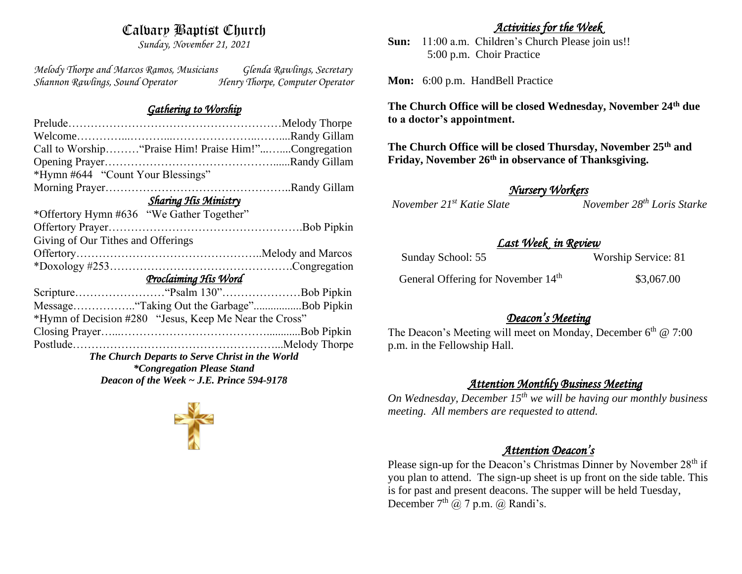# Calvary Baptist Church

*Sunday, November 21, 2021*

*Melody Thorpe and Marcos Ramos, Musicians Glenda Rawlings, Secretary Shannon Rawlings, Sound Operator Henry Thorpe, Computer Operator* 

### *Gathering to Worship*

# *Activities for the Week*

**Sun:** 11:00 a.m. Children's Church Please join us!! 5:00 p.m. Choir Practice

**Mon:** 6:00 p.m. HandBell Practice

**The Church Office will be closed Wednesday, November 24th due to a doctor's appointment.**

**The Church Office will be closed Thursday, November 25th and Friday, November 26th in observance of Thanksgiving.**

*November 21<sup>st</sup> Katie Slate* 

*Nursery Workers* 

## *Last Week in Review*

| Sunday School: 55                              | Worship Service: 81 |
|------------------------------------------------|---------------------|
| General Offering for November 14 <sup>th</sup> | \$3,067.00          |

## *Deacon's Meeting*

The Deacon's Meeting will meet on Monday, December 6<sup>th</sup> @ 7:00 p.m. in the Fellowship Hall.

## *Attention Monthly Business Meeting*

*On Wednesday, December 15th we will be having our monthly business meeting. All members are requested to attend.* 

## *Attention Deacon's*

Please sign-up for the Deacon's Christmas Dinner by November 28<sup>th</sup> if you plan to attend. The sign-up sheet is up front on the side table. This is for past and present deacons. The supper will be held Tuesday, December  $7<sup>th</sup>$  ( $\omega$ ) 7 p.m. ( $\omega$ ) Randi's.

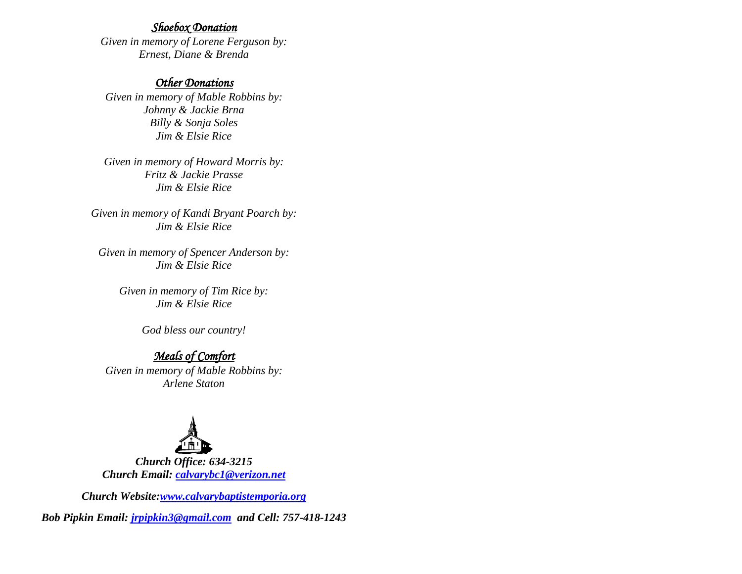#### *Shoebox Donation*

*Given in memory of Lorene Ferguson by: Ernest, Diane & Brenda*

#### *Other Donations*

*Given in memory of Mable Robbins by: Johnny & Jackie Brna Billy & Sonja Soles Jim & Elsie Rice*

*Given in memory of Howard Morris by: Fritz & Jackie Prasse Jim & Elsie Rice*

*Given in memory of Kandi Bryant Poarch by: Jim & Elsie Rice*

*Given in memory of Spencer Anderson by: Jim & Elsie Rice*

> *Given in memory of Tim Rice by: Jim & Elsie Rice*

> > *God bless our country!*

### *Meals of Comfort*

*Given in memory of Mable Robbins by: Arlene Staton*



*Church Office: 634-3215 Church Email: [calvarybc1@verizon.net](mailto:cbcemporiaoffice@gmail.com)*

*Church Website[:www.calvarybaptistemporia.org](http://www.calvarybaptistemporia.org/)*

*Bob Pipkin Email: [jrpipkin3@gmail.com](mailto:jrpipkin3@gmail.com) and Cell: 757-418-1243*